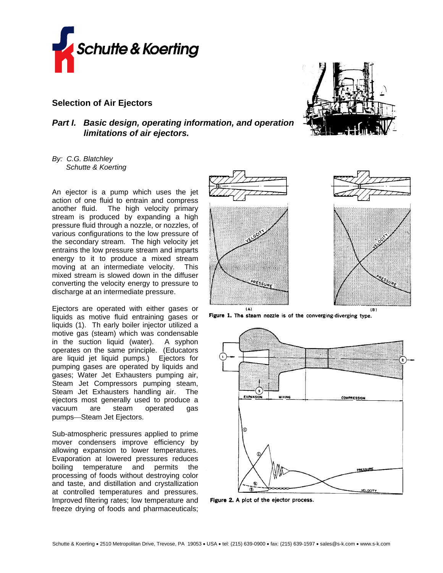

## **Selection of Air Ejectors**

## *Part I. Basic design, operating information, and operation limitations of air ejectors.*

*By: C.G. Blatchley Schutte & Koerting* 

An ejector is a pump which uses the jet action of one fluid to entrain and compress another fluid. The high velocity primary stream is produced by expanding a high pressure fluid through a nozzle, or nozzles, of various configurations to the low pressure of the secondary stream. The high velocity jet entrains the low pressure stream and imparts energy to it to produce a mixed stream moving at an intermediate velocity. This mixed stream is slowed down in the diffuser converting the velocity energy to pressure to discharge at an intermediate pressure.

Ejectors are operated with either gases or liquids as motive fluid entraining gases or liquids (1). Th early boiler injector utilized a motive gas (steam) which was condensable in the suction liquid (water). A syphon operates on the same principle. (Educators are liquid jet liquid pumps.) Ejectors for pumping gases are operated by liquids and gases; Water Jet Exhausters pumping air, Steam Jet Compressors pumping steam, Steam Jet Exhausters handling air. The ejectors most generally used to produce a vacuum are steam operated gas pumps-Steam Jet Ejectors.

Sub-atmospheric pressures applied to prime mover condensers improve efficiency by allowing expansion to lower temperatures. Evaporation at lowered pressures reduces boiling temperature and permits the processing of foods without destroying color and taste, and distillation and crystallization at controlled temperatures and pressures. Improved filtering rates; low temperature and freeze drying of foods and pharmaceuticals;









Figure 1. The steam nozzle is of the converging-diverging type.



Figure 2. A plot of the ejector process.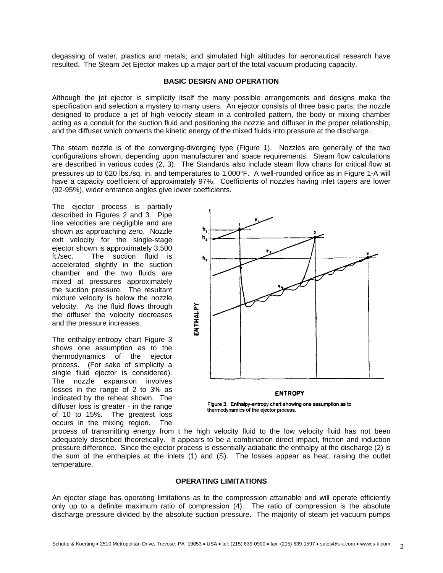degassing of water, plastics and metals; and simulated high altitudes for aeronautical research have resulted. The Steam Jet Ejector makes up a major part of the total vacuum producing capacity.

### **BASIC DESIGN AND OPERATION**

Although the jet ejector is simplicity itself the many possible arrangements and designs make the specification and selection a mystery to many users. An ejector consists of three basic parts; the nozzle designed to produce a jet of high velocity steam in a controlled pattern, the body or mixing chamber acting as a conduit for the suction fluid and positioning the nozzle and diffuser in the proper relationship, and the diffuser which converts the kinetic energy of the mixed fluids into pressure at the discharge.

The steam nozzle is of the converging-diverging type (Figure 1). Nozzles are generally of the two configurations shown, depending upon manufacturer and space requirements. Steam flow calculations are described in various codes (2, 3). The Standards also include steam flow charts for critical flow at pressures up to 620 lbs./sq. in. and temperatures to 1,000°F. A well-rounded orifice as in Figure 1-A will have a capacity coefficient of approximately 97%. Coefficients of nozzles having inlet tapers are lower (92-95%), wider entrance angles give lower coefficients.

The ejector process is partially described in Figures 2 and 3. Pipe line velocities are negligible and are shown as approaching zero. Nozzle exit velocity for the single-stage ejector shown is approximately 3,500 ft./sec. The suction fluid is accelerated slightly in the suction chamber and the two fluids are mixed at pressures approximately the suction pressure. The resultant mixture velocity is below the nozzle velocity. As the fluid flows through the diffuser the velocity decreases and the pressure increases.

The enthalpy-entropy chart Figure 3 shows one assumption as to the thermodynamics of the ejector process. (For sake of simplicity a single fluid ejector is considered). The nozzle expansion involves losses in the range of 2 to 3% as indicated by the reheat shown. The diffuser loss is greater - in the range of 10 to 15%. The greatest loss occurs in the mixing region. The



#### **ENTROPY**

Figure 3. Enthalpy-entropy chart showing one assumption as to thermodynamics of the ejector process.

process of transmitting energy from t he high velocity fluid to the low velocity fluid has not been adequately described theoretically. It appears to be a combination direct impact, friction and induction pressure difference. Since the ejector process is essentially adiabatic the enthalpy at the discharge (2) is the sum of the enthalpies at the inlets (1) and (S). The losses appear as heat, raising the outlet temperature.

### **OPERATING LIMITATIONS**

An ejector stage has operating limitations as to the compression attainable and will operate efficiently only up to a definite maximum ratio of compression (4). The ratio of compression is the absolute discharge pressure divided by the absolute suction pressure. The majority of steam jet vacuum pumps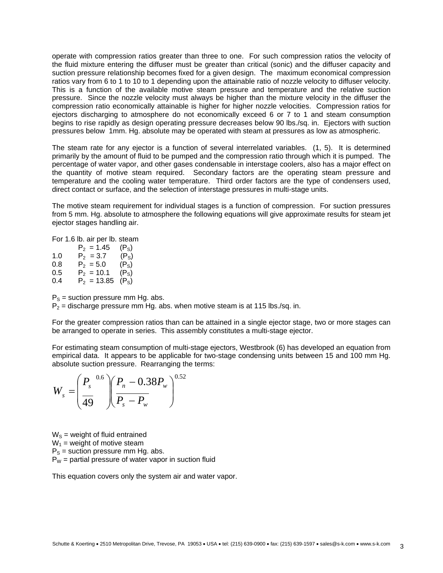operate with compression ratios greater than three to one. For such compression ratios the velocity of the fluid mixture entering the diffuser must be greater than critical (sonic) and the diffuser capacity and suction pressure relationship becomes fixed for a given design. The maximum economical compression ratios vary from 6 to 1 to 10 to 1 depending upon the attainable ratio of nozzle velocity to diffuser velocity. This is a function of the available motive steam pressure and temperature and the relative suction pressure. Since the nozzle velocity must always be higher than the mixture velocity in the diffuser the compression ratio economically attainable is higher for higher nozzle velocities. Compression ratios for ejectors discharging to atmosphere do not economically exceed 6 or 7 to 1 and steam consumption begins to rise rapidly as design operating pressure decreases below 90 lbs./sq. in. Ejectors with suction pressures below 1mm. Hg. absolute may be operated with steam at pressures as low as atmospheric.

The steam rate for any ejector is a function of several interrelated variables. (1, 5). It is determined primarily by the amount of fluid to be pumped and the compression ratio through which it is pumped. The percentage of water vapor, and other gases condensable in interstage coolers, also has a major effect on the quantity of motive steam required. Secondary factors are the operating steam pressure and temperature and the cooling water temperature. Third order factors are the type of condensers used, direct contact or surface, and the selection of interstage pressures in multi-stage units.

The motive steam requirement for individual stages is a function of compression. For suction pressures from 5 mm. Hg. absolute to atmosphere the following equations will give approximate results for steam jet ejector stages handling air.

For 1.6 lb. air per lb. steam

 $P_2 = 1.45$  (P<sub>S</sub>)<br>  $P_2 = 3.7$  (P<sub>S</sub>) 1.0  $P_2 = 3.7$ 0.8  $P_2 = 5.0$  (P<sub>S</sub>) 0.5  $P_2 = 10.1$  (P<sub>S</sub>) 0.4  $P_2 = 13.85$  (P<sub>S</sub>)

 $P_s$  = suction pressure mm Hg. abs.

 $P_2$  = discharge pressure mm Hg. abs. when motive steam is at 115 lbs./sq. in.

For the greater compression ratios than can be attained in a single ejector stage, two or more stages can be arranged to operate in series. This assembly constitutes a multi-stage ejector.

For estimating steam consumption of multi-stage ejectors, Westbrook (6) has developed an equation from empirical data. It appears to be applicable for two-stage condensing units between 15 and 100 mm Hg. absolute suction pressure. Rearranging the terms:

$$
W_s = \left(\frac{P_s^{0.6}}{49}\right)\left(\frac{P_n - 0.38 P_w}{P_s - P_w}\right)^{0.52}
$$

 $W<sub>S</sub>$  = weight of fluid entrained  $W_1$  = weight of motive steam  $P<sub>S</sub>$  = suction pressure mm Hg. abs.  $P_W$  = partial pressure of water vapor in suction fluid

This equation covers only the system air and water vapor.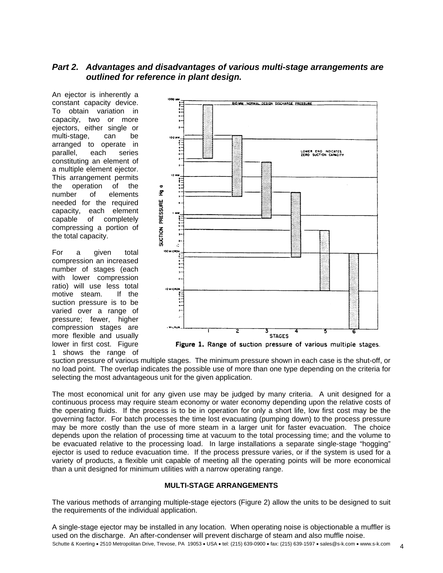# *Part 2. Advantages and disadvantages of various multi-stage arrangements are outlined for reference in plant design.*

An ejector is inherently a constant capacity device. To obtain variation in capacity, two or more ejectors, either single or multi-stage, can be arranged to operate in parallel, each series constituting an element of a multiple element ejector. This arrangement permits the operation of the number of elements needed for the required capacity, each element capable of completely compressing a portion of the total capacity.

For a given total compression an increased number of stages (each with lower compression ratio) will use less total motive steam. If the suction pressure is to be varied over a range of pressure; fewer, higher compression stages are more flexible and usually lower in first cost. Figure 1 shows the range of



suction pressure of various multiple stages. The minimum pressure shown in each case is the shut-off, or no load point. The overlap indicates the possible use of more than one type depending on the criteria for selecting the most advantageous unit for the given application.

The most economical unit for any given use may be judged by many criteria. A unit designed for a continuous process may require steam economy or water economy depending upon the relative costs of the operating fluids. If the process is to be in operation for only a short life, low first cost may be the governing factor. For batch processes the time lost evacuating (pumping down) to the process pressure may be more costly than the use of more steam in a larger unit for faster evacuation. The choice depends upon the relation of processing time at vacuum to the total processing time; and the volume to be evacuated relative to the processing load. In large installations a separate single-stage "hogging" ejector is used to reduce evacuation time. If the process pressure varies, or if the system is used for a variety of products, a flexible unit capable of meeting all the operating points will be more economical than a unit designed for minimum utilities with a narrow operating range.

## **MULTI-STAGE ARRANGEMENTS**

The various methods of arranging multiple-stage ejectors (Figure 2) allow the units to be designed to suit the requirements of the individual application.

Schutte & Koerting • 2510 Metropolitan Drive, Trevose, PA 19053 • USA • tel: (215) 639-0900 • fax: (215) 639-1597 • sales@s-k.com • www.s-k.com 4 A single-stage ejector may be installed in any location. When operating noise is objectionable a muffler is used on the discharge. An after-condenser will prevent discharge of steam and also muffle noise.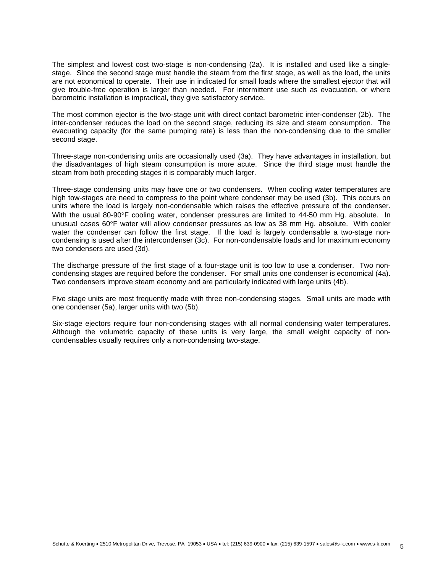The simplest and lowest cost two-stage is non-condensing (2a). It is installed and used like a singlestage. Since the second stage must handle the steam from the first stage, as well as the load, the units are not economical to operate. Their use in indicated for small loads where the smallest ejector that will give trouble-free operation is larger than needed. For intermittent use such as evacuation, or where barometric installation is impractical, they give satisfactory service.

The most common ejector is the two-stage unit with direct contact barometric inter-condenser (2b). The inter-condenser reduces the load on the second stage, reducing its size and steam consumption. The evacuating capacity (for the same pumping rate) is less than the non-condensing due to the smaller second stage.

Three-stage non-condensing units are occasionally used (3a). They have advantages in installation, but the disadvantages of high steam consumption is more acute. Since the third stage must handle the steam from both preceding stages it is comparably much larger.

Three-stage condensing units may have one or two condensers. When cooling water temperatures are high tow-stages are need to compress to the point where condenser may be used (3b). This occurs on units where the load is largely non-condensable which raises the effective pressure of the condenser. With the usual 80-90°F cooling water, condenser pressures are limited to 44-50 mm Hg. absolute. In unusual cases 60°F water will allow condenser pressures as low as 38 mm Hg. absolute. With cooler water the condenser can follow the first stage. If the load is largely condensable a two-stage noncondensing is used after the intercondenser (3c). For non-condensable loads and for maximum economy two condensers are used (3d).

The discharge pressure of the first stage of a four-stage unit is too low to use a condenser. Two noncondensing stages are required before the condenser. For small units one condenser is economical (4a). Two condensers improve steam economy and are particularly indicated with large units (4b).

Five stage units are most frequently made with three non-condensing stages. Small units are made with one condenser (5a), larger units with two (5b).

Six-stage ejectors require four non-condensing stages with all normal condensing water temperatures. Although the volumetric capacity of these units is very large, the small weight capacity of noncondensables usually requires only a non-condensing two-stage.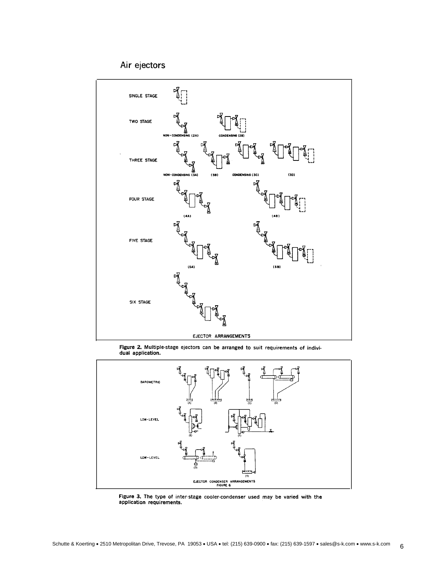Air ejectors



Figure 2. Multiple-stage ejectors can be arranged to suit requirements of indivi-<br>dual application.



Figure 3. The type of inter-stage cooler-condenser used may be varied with the application requirements.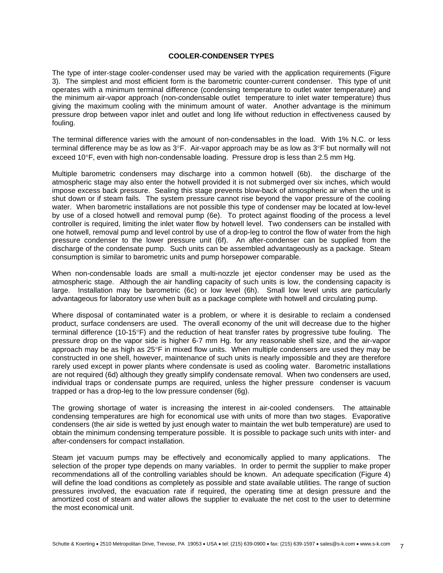## **COOLER-CONDENSER TYPES**

The type of inter-stage cooler-condenser used may be varied with the application requirements (Figure 3). The simplest and most efficient form is the barometric counter-current condenser. This type of unit operates with a minimum terminal difference (condensing temperature to outlet water temperature) and the minimum air-vapor approach (non-condensable outlet temperature to inlet water temperature) thus giving the maximum cooling with the minimum amount of water. Another advantage is the minimum pressure drop between vapor inlet and outlet and long life without reduction in effectiveness caused by fouling.

The terminal difference varies with the amount of non-condensables in the load. With 1% N.C. or less terminal difference may be as low as 3°F. Air-vapor approach may be as low as 3°F but normally will not exceed 10°F, even with high non-condensable loading. Pressure drop is less than 2.5 mm Hg.

Multiple barometric condensers may discharge into a common hotwell (6b). the discharge of the atmospheric stage may also enter the hotwell provided it is not submerged over six inches, which would impose excess back pressure. Sealing this stage prevents blow-back of atmospheric air when the unit is shut down or if steam fails. The system pressure cannot rise beyond the vapor pressure of the cooling water. When barometric installations are not possible this type of condenser may be located at low-level by use of a closed hotwell and removal pump (6e). To protect against flooding of the process a level controller is required, limiting the inlet water flow by hotwell level. Two condensers can be installed with one hotwell, removal pump and level control by use of a drop-leg to control the flow of water from the high pressure condenser to the lower pressure unit (6f). An after-condenser can be supplied from the discharge of the condensate pump. Such units can be assembled advantageously as a package. Steam consumption is similar to barometric units and pump horsepower comparable.

When non-condensable loads are small a multi-nozzle jet ejector condenser may be used as the atmospheric stage. Although the air handling capacity of such units is low, the condensing capacity is large. Installation may be barometric (6c) or low level (6h). Small low level units are particularly advantageous for laboratory use when built as a package complete with hotwell and circulating pump.

Where disposal of contaminated water is a problem, or where it is desirable to reclaim a condensed product, surface condensers are used. The overall economy of the unit will decrease due to the higher terminal difference (10-15°F) and the reduction of heat transfer rates by progressive tube fouling. The pressure drop on the vapor side is higher 6-7 mm Hg. for any reasonable shell size, and the air-vapor approach may be as high as 25°F in mixed flow units. When multiple condensers are used they may be constructed in one shell, however, maintenance of such units is nearly impossible and they are therefore rarely used except in power plants where condensate is used as cooling water. Barometric installations are not required (6d) although they greatly simplify condensate removal. When two condensers are used, individual traps or condensate pumps are required, unless the higher pressure condenser is vacuum trapped or has a drop-leg to the low pressure condenser (6g).

The growing shortage of water is increasing the interest in air-cooled condensers. The attainable condensing temperatures are high for economical use with units of more than two stages. Evaporative condensers (the air side is wetted by just enough water to maintain the wet bulb temperature) are used to obtain the minimum condensing temperature possible. It is possible to package such units with inter- and after-condensers for compact installation.

Steam jet vacuum pumps may be effectively and economically applied to many applications. The selection of the proper type depends on many variables. In order to permit the supplier to make proper recommendations all of the controlling variables should be known. An adequate specification (Figure 4) will define the load conditions as completely as possible and state available utilities. The range of suction pressures involved, the evacuation rate if required, the operating time at design pressure and the amortized cost of steam and water allows the supplier to evaluate the net cost to the user to determine the most economical unit.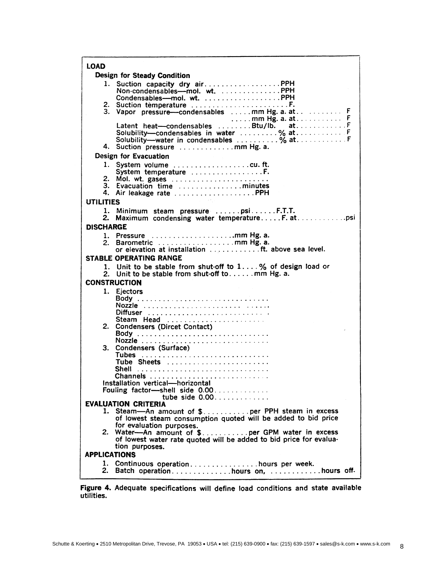| <b>LOAD</b>                   |                                                                                           |
|-------------------------------|-------------------------------------------------------------------------------------------|
| Design for Steady Condition   |                                                                                           |
| 1.                            | Suction capacity dry air PPH                                                              |
|                               | Non-condensables-mol. wt. PPH                                                             |
|                               | Condensables-mol. wt. PPH                                                                 |
|                               | 3. Vapor pressure-condensables mm Hg. a. at F                                             |
|                               | $\ldots$ . mm Hg. a. at F                                                                 |
|                               |                                                                                           |
|                               | Solubility---condensables in water % at F                                                 |
|                               | Solubility--water in condensables % at F                                                  |
|                               | 4. Suction pressure mm Hg. a.                                                             |
| Design for Evacuation         |                                                                                           |
|                               | 1. System volume cu.ft.<br>System temperature F.                                          |
|                               | 2. Mol. wt. gases                                                                         |
|                               | 3. Evacuation time minutes                                                                |
|                               | 4. Air leakage rate PPH                                                                   |
| <b>UTILITIES</b>              |                                                                                           |
| 1.                            | Minimum steam pressure psiF.T.T.                                                          |
| 2.                            |                                                                                           |
| <b>DISCHARGE</b>              |                                                                                           |
|                               | 1. Pressure mm Hg. a.<br>2. Barometric mm Hg. a.                                          |
|                               |                                                                                           |
| <b>STABLE OPERATING RANGE</b> |                                                                                           |
|                               | 1. Unit to be stable from shut-off to 1% of design load or                                |
|                               | 2. Unit to be stable from shut-off tomm Hg. a.                                            |
| <b>CONSTRUCTION</b>           |                                                                                           |
|                               | 1. Ejectors                                                                               |
|                               |                                                                                           |
|                               | Diffuser                                                                                  |
|                               | Steam Head                                                                                |
|                               | 2. Condensers (Dircet Contact)                                                            |
|                               |                                                                                           |
| 3.                            | Condensers (Surface)                                                                      |
|                               |                                                                                           |
|                               | Tube Sheets                                                                               |
|                               | Shell                                                                                     |
|                               | Installation vertical-horizontal                                                          |
|                               | Fouling factor-shell side 0.00                                                            |
|                               | tube side $0.00$                                                                          |
| <b>EVALUATION CRITERIA</b>    |                                                                                           |
|                               | 1. Steam-An amount of \$per PPH steam in excess                                           |
|                               | of lowest steam consumption quoted will be added to bid price<br>for evaluation purposes. |
|                               | 2. Water-An amount of \$ per GPM water in excess                                          |
|                               | of lowest water rate quoted will be added to bid price for evalua-                        |
| tion purposes.                |                                                                                           |
| <b>APPLICATIONS</b>           |                                                                                           |
|                               | 1. Continuous operationhours per week.                                                    |
|                               |                                                                                           |

Figure 4. Adequate specifications will define load conditions and state available utilities.